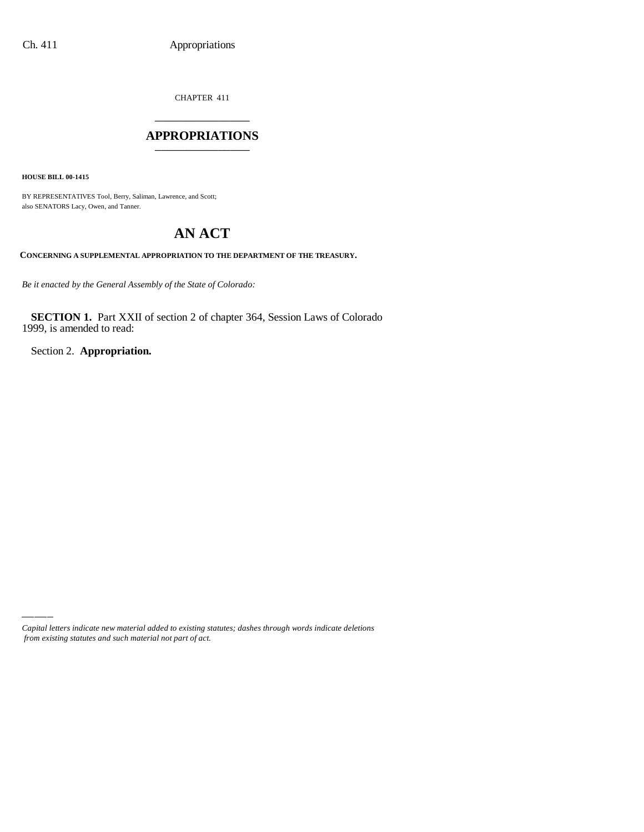CHAPTER 411 \_\_\_\_\_\_\_\_\_\_\_\_\_\_\_

#### **APPROPRIATIONS** \_\_\_\_\_\_\_\_\_\_\_\_\_\_\_

**HOUSE BILL 00-1415**

BY REPRESENTATIVES Tool, Berry, Saliman, Lawrence, and Scott; also SENATORS Lacy, Owen, and Tanner.

# **AN ACT**

**CONCERNING A SUPPLEMENTAL APPROPRIATION TO THE DEPARTMENT OF THE TREASURY.**

*Be it enacted by the General Assembly of the State of Colorado:*

**SECTION 1.** Part XXII of section 2 of chapter 364, Session Laws of Colorado 1999, is amended to read:

Section 2. **Appropriation.**

*Capital letters indicate new material added to existing statutes; dashes through words indicate deletions from existing statutes and such material not part of act.*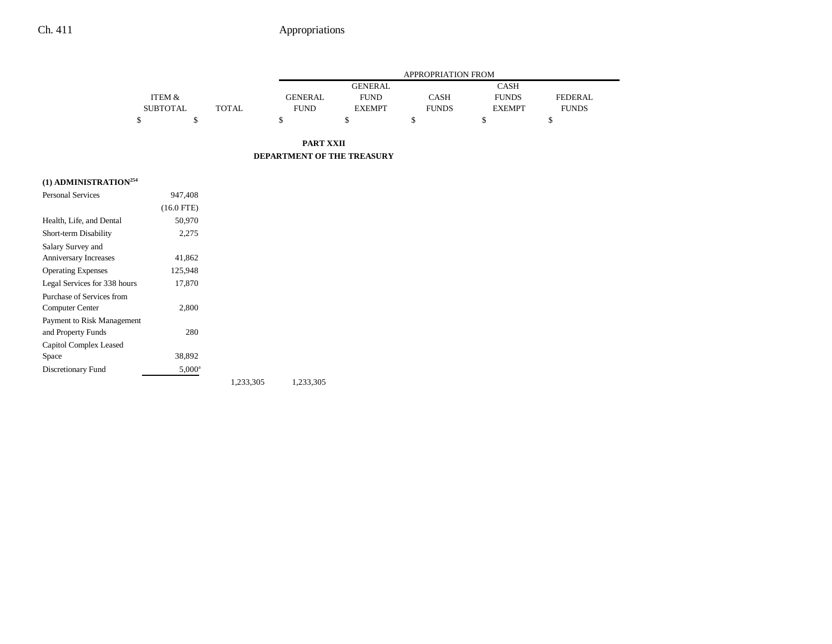# Ch. 411 Appropriations

|                 |       |                | APPROPRIATION FROM |              |               |              |  |  |
|-----------------|-------|----------------|--------------------|--------------|---------------|--------------|--|--|
|                 |       |                | <b>GENERAL</b>     |              | CASH          |              |  |  |
| ITEM &          |       | <b>GENERAL</b> | <b>FUND</b>        | <b>CASH</b>  | <b>FUNDS</b>  | FEDERAL.     |  |  |
| <b>SUBTOTAL</b> | TOTAL | <b>FUND</b>    | <b>EXEMPT</b>      | <b>FUNDS</b> | <b>EXEMPT</b> | <b>FUNDS</b> |  |  |
|                 |       |                |                    |              |               |              |  |  |

**PART XXII DEPARTMENT OF THE TREASURY**

### **(1) ADMINISTRATION254**

| <b>Personal Services</b>     | 947.408         |           |           |
|------------------------------|-----------------|-----------|-----------|
|                              | $(16.0$ FTE)    |           |           |
| Health, Life, and Dental     | 50,970          |           |           |
| Short-term Disability        | 2,275           |           |           |
| Salary Survey and            |                 |           |           |
| Anniversary Increases        | 41,862          |           |           |
| <b>Operating Expenses</b>    | 125,948         |           |           |
| Legal Services for 338 hours | 17,870          |           |           |
| Purchase of Services from    |                 |           |           |
| Computer Center              | 2,800           |           |           |
| Payment to Risk Management   |                 |           |           |
| and Property Funds           | 280             |           |           |
| Capitol Complex Leased       |                 |           |           |
| Space                        | 38,892          |           |           |
| Discretionary Fund           | $5,000^{\rm a}$ |           |           |
|                              |                 | 1,233,305 | 1,233,305 |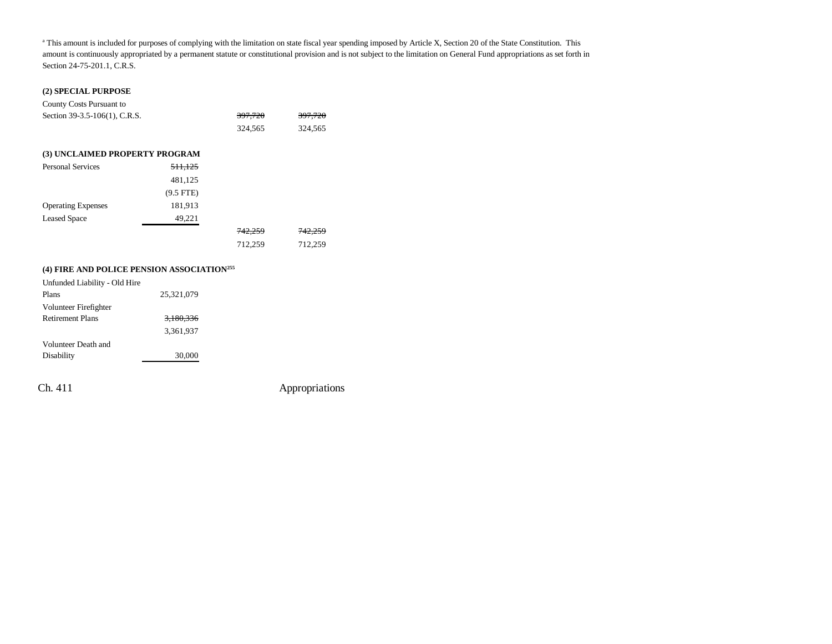<sup>a</sup> This amount is included for purposes of complying with the limitation on state fiscal year spending imposed by Article X, Section 20 of the State Constitution. This amount is continuously appropriated by a permanent statute or constitutional provision and is not subject to the limitation on General Fund appropriations as set forth in Section 24-75-201.1, C.R.S.

#### **(2) SPECIAL PURPOSE**

| County Costs Pursuant to       |                    |                    |                    |
|--------------------------------|--------------------|--------------------|--------------------|
| Section 39-3.5-106(1), C.R.S.  | 397,720            | 397,720            |                    |
|                                |                    | 324,565            | 324,565            |
| (3) UNCLAIMED PROPERTY PROGRAM |                    |                    |                    |
|                                |                    |                    |                    |
| <b>Personal Services</b>       | <del>511,125</del> |                    |                    |
|                                | 481,125            |                    |                    |
|                                | $(9.5$ FTE)        |                    |                    |
| <b>Operating Expenses</b>      | 181,913            |                    |                    |
| <b>Leased Space</b>            | 49,221             |                    |                    |
|                                |                    | <del>742.259</del> | <del>742.259</del> |
|                                |                    | 712.259            | 712.259            |

### **(4) FIRE AND POLICE PENSION ASSOCIATION255**

| 25.321.079 |  |
|------------|--|
|            |  |
| 3,180,336  |  |
| 3.361.937  |  |
|            |  |
| 30,000     |  |
|            |  |

Ch. 411 Appropriations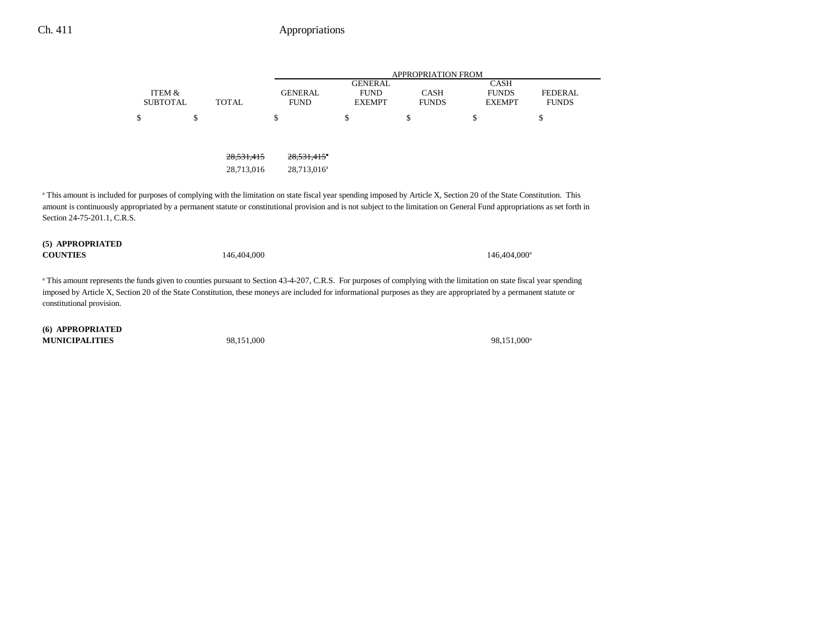## Ch. 411 Appropriations

|                                                                                                                                                                                   |                           |              |                               |                                                | <b>APPROPRIATION FROM</b>   |                                              |                                |
|-----------------------------------------------------------------------------------------------------------------------------------------------------------------------------------|---------------------------|--------------|-------------------------------|------------------------------------------------|-----------------------------|----------------------------------------------|--------------------------------|
|                                                                                                                                                                                   | ITEM &<br><b>SUBTOTAL</b> | <b>TOTAL</b> | <b>GENERAL</b><br><b>FUND</b> | <b>GENERAL</b><br><b>FUND</b><br><b>EXEMPT</b> | <b>CASH</b><br><b>FUNDS</b> | <b>CASH</b><br><b>FUNDS</b><br><b>EXEMPT</b> | <b>FEDERAL</b><br><b>FUNDS</b> |
|                                                                                                                                                                                   | \$                        | \$           | \$                            | \$                                             | S                           | \$                                           | S                              |
|                                                                                                                                                                                   |                           |              |                               |                                                |                             |                                              |                                |
|                                                                                                                                                                                   |                           | 28,531,415   | $28.531.415$ <sup>*</sup>     |                                                |                             |                                              |                                |
|                                                                                                                                                                                   |                           | 28.713.016   | 28.713.016 <sup>a</sup>       |                                                |                             |                                              |                                |
| <sup>a</sup> This amount is included for purposes of complying with the limitation on state fiscal year spending imposed by Article X, Section 20 of the State Constitution. This |                           |              |                               |                                                |                             |                                              |                                |
| amount is continuously appropriated by a permanent statute or constitutional provision and is not subject to the limitation on General Fund appropriations as set forth in        |                           |              |                               |                                                |                             |                                              |                                |
| Section 24-75-201.1, C.R.S.                                                                                                                                                       |                           |              |                               |                                                |                             |                                              |                                |

**(5) APPROPRIATED COUNTIES**

146,404,000 146,404,000 146,404,000 146,404,000 146,404,000 146,404,000 146,404,000 146,404,000 146,404,000 15

a This amount represents the funds given to counties pursuant to Section 43-4-207, C.R.S. For purposes of complying with the limitation on state fiscal year spending imposed by Article X, Section 20 of the State Constitution, these moneys are included for informational purposes as they are appropriated by a permanent statute or constitutional provision.

**(6) APPROPRIATED MUNICIPALITIES**

98,151,000<sup>a</sup> 98,151,000<sup>a</sup>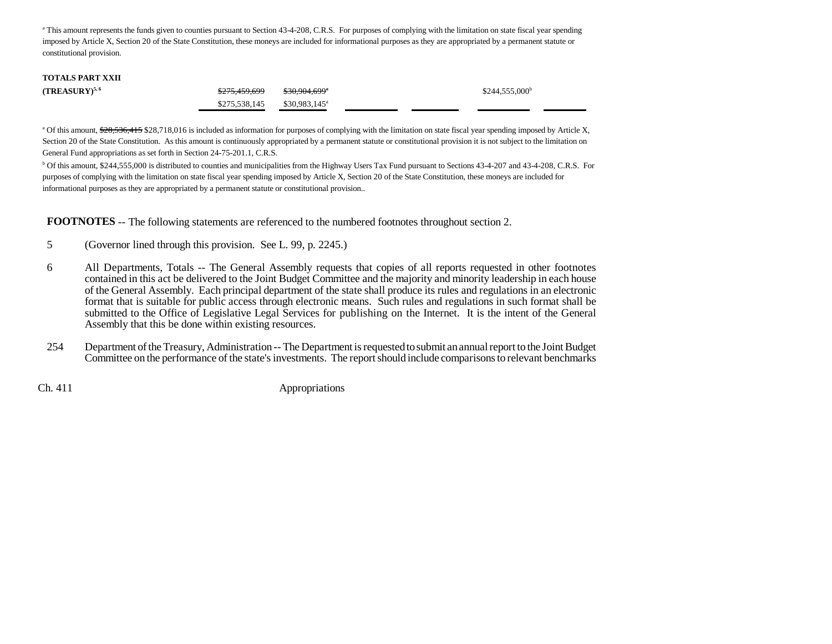<sup>a</sup> This amount represents the funds given to counties pursuant to Section 43-4-208, C.R.S. For purposes of complying with the limitation on state fiscal year spending imposed by Article X, Section 20 of the State Constitution, these moneys are included for informational purposes as they are appropriated by a permanent statute or constitutional provision.

| <b>TOTALS PART XXII</b> |                          |                           |                             |
|-------------------------|--------------------------|---------------------------|-----------------------------|
| $(TREASURY)^{5,6}$      | <del>\$275.459.699</del> | <del>\$30,904,699</del> ª | $$244,555,000$ <sup>b</sup> |
|                         | \$275,538,145            | $$30.983.145^{\circ}$     |                             |

<sup>a</sup> Of this amount, \$28,536,415 \$28,718,016 is included as information for purposes of complying with the limitation on state fiscal year spending imposed by Article X, Section 20 of the State Constitution. As this amount is continuously appropriated by a permanent statute or constitutional provision it is not subject to the limitation on General Fund appropriations as set forth in Section 24-75-201.1, C.R.S.

<sup>b</sup> Of this amount, \$244,555,000 is distributed to counties and municipalities from the Highway Users Tax Fund pursuant to Sections 43-4-207 and 43-4-208, C.R.S. For purposes of complying with the limitation on state fiscal year spending imposed by Article X, Section 20 of the State Constitution, these moneys are included for informational purposes as they are appropriated by a permanent statute or constitutional provision..

**FOOTNOTES** -- The following statements are referenced to the numbered footnotes throughout section 2.

- 5 (Governor lined through this provision. See L. 99, p. 2245.)
- 6 All Departments, Totals -- The General Assembly requests that copies of all reports requested in other footnotes contained in this act be delivered to the Joint Budget Committee and the majority and minority leadership in each house of the General Assembly. Each principal department of the state shall produce its rules and regulations in an electronic format that is suitable for public access through electronic means. Such rules and regulations in such format shall be submitted to the Office of Legislative Legal Services for publishing on the Internet. It is the intent of the General Assembly that this be done within existing resources.
- 254 Department of the Treasury, Administration -- The Department is requested to submit an annual report to the Joint Budget Committee on the performance of the state's investments. The report should include comparisons to relevant benchmarks

Ch. 411 Appropriations